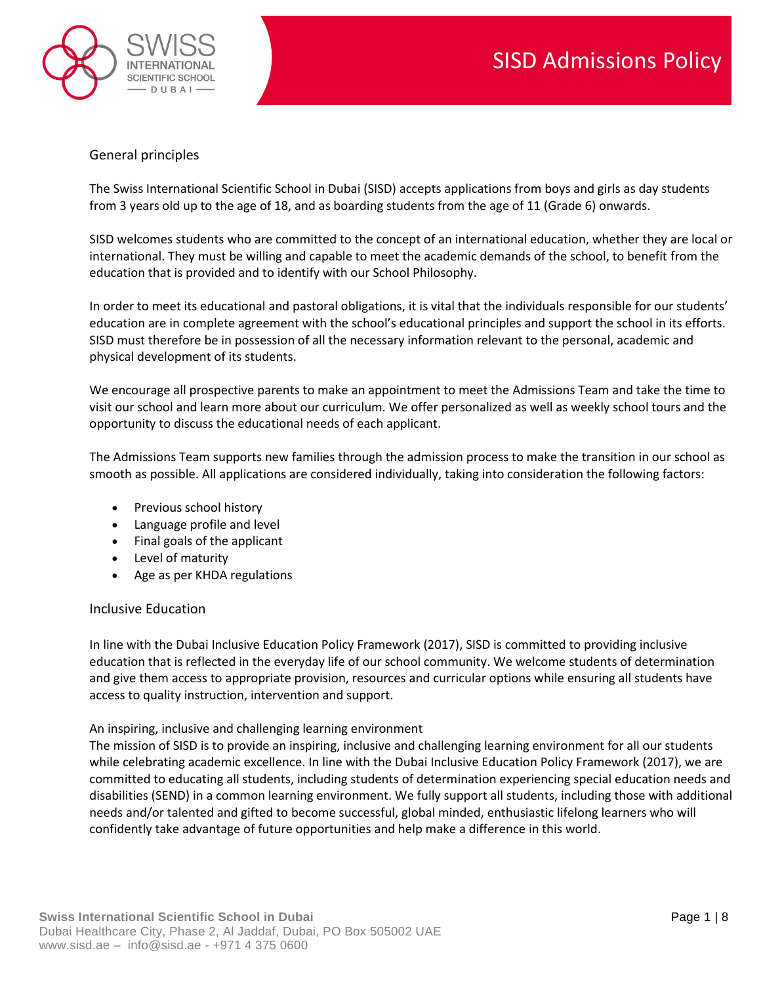

## General principles

The Swiss International Scientific School in Dubai (SISD) accepts applications from boys and girls as day students from 3 years old up to the age of 18, and as boarding students from the age of 11 (Grade 6) onwards.

SISD welcomes students who are committed to the concept of an international education, whether they are local or international. They must be willing and capable to meet the academic demands of the school, to benefit from the education that is provided and to identify with our School Philosophy.

In order to meet its educational and pastoral obligations, it is vital that the individuals responsible for our students' education are in complete agreement with the school's educational principles and support the school in its efforts. SISD must therefore be in possession of all the necessary information relevant to the personal, academic and physical development of its students.

We encourage all prospective parents to make an appointment to meet the Admissions Team and take the time to visit our school and learn more about our curriculum. We offer personalized as well as weekly school tours and the opportunity to discuss the educational needs of each applicant.

The Admissions Team supports new families through the admission process to make the transition in our school as smooth as possible. All applications are considered individually, taking into consideration the following factors:

- Previous school history
- Language profile and level
- Final goals of the applicant
- Level of maturity
- Age as per KHDA regulations

## Inclusive Education

In line with the Dubai Inclusive Education Policy Framework (2017), SISD is committed to providing inclusive education that is reflected in the everyday life of our school community. We welcome students of determination and give them access to appropriate provision, resources and curricular options while ensuring all students have access to quality instruction, intervention and support.

#### An inspiring, inclusive and challenging learning environment

The mission of SISD is to provide an inspiring, inclusive and challenging learning environment for all our students while celebrating academic excellence. In line with the Dubai Inclusive Education Policy Framework (2017), we are committed to educating all students, including students of determination experiencing special education needs and disabilities (SEND) in a common learning environment. We fully support all students, including those with additional needs and/or talented and gifted to become successful, global minded, enthusiastic lifelong learners who will confidently take advantage of future opportunities and help make a difference in this world.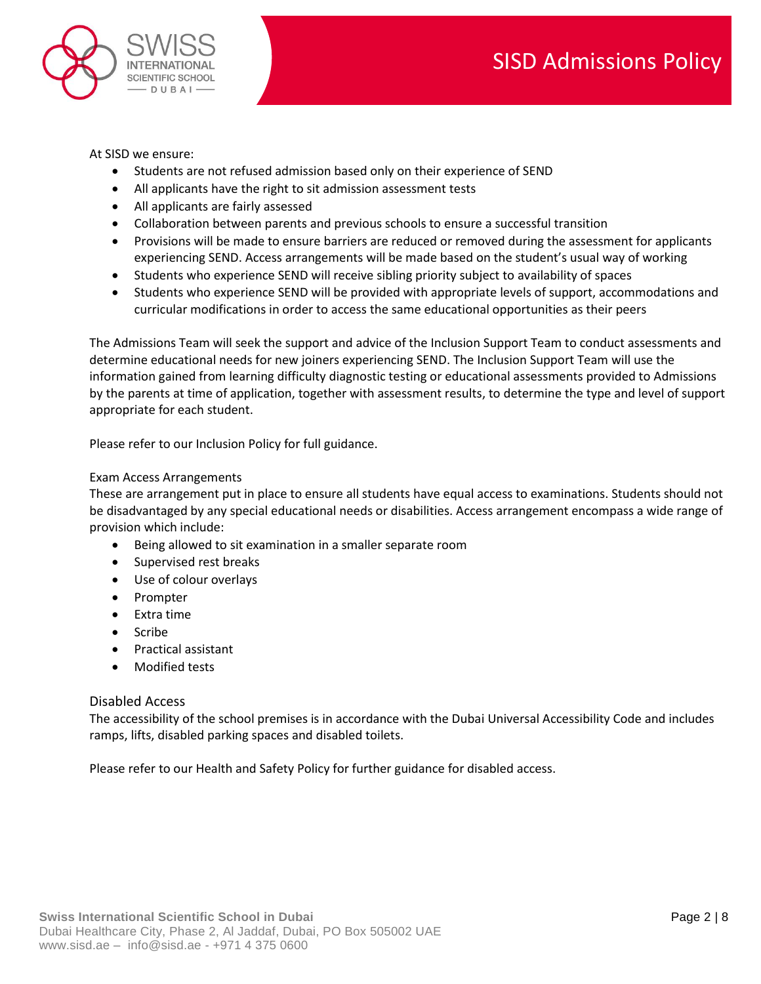

At SISD we ensure:

- Students are not refused admission based only on their experience of SEND
- All applicants have the right to sit admission assessment tests
- All applicants are fairly assessed
- Collaboration between parents and previous schools to ensure a successful transition
- Provisions will be made to ensure barriers are reduced or removed during the assessment for applicants experiencing SEND. Access arrangements will be made based on the student's usual way of working
- Students who experience SEND will receive sibling priority subject to availability of spaces
- Students who experience SEND will be provided with appropriate levels of support, accommodations and curricular modifications in order to access the same educational opportunities as their peers

The Admissions Team will seek the support and advice of the Inclusion Support Team to conduct assessments and determine educational needs for new joiners experiencing SEND. The Inclusion Support Team will use the information gained from learning difficulty diagnostic testing or educational assessments provided to Admissions by the parents at time of application, together with assessment results, to determine the type and level of support appropriate for each student.

Please refer to our Inclusion Policy for full guidance.

### Exam Access Arrangements

These are arrangement put in place to ensure all students have equal access to examinations. Students should not be disadvantaged by any special educational needs or disabilities. Access arrangement encompass a wide range of provision which include:

- Being allowed to sit examination in a smaller separate room
- Supervised rest breaks
- Use of colour overlays
- Prompter
- Extra time
- Scribe
- Practical assistant
- Modified tests

#### Disabled Access

The accessibility of the school premises is in accordance with the Dubai Universal Accessibility Code and includes ramps, lifts, disabled parking spaces and disabled toilets.

Please refer to our Health and Safety Policy for further guidance for disabled access.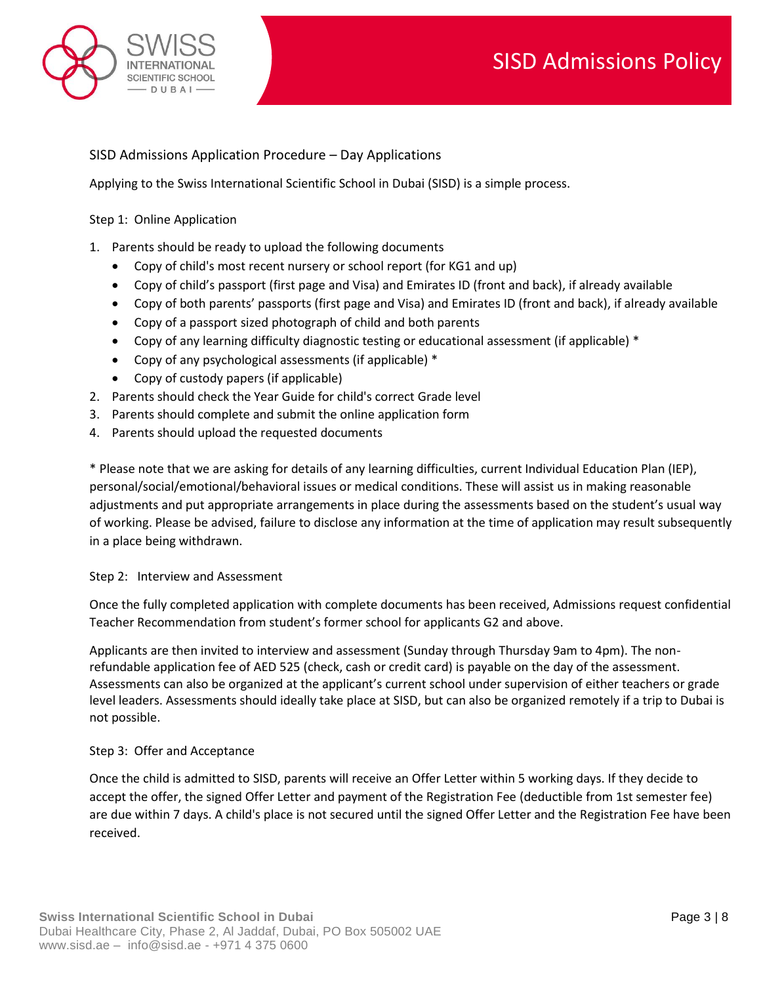

# SISD Admissions Application Procedure – Day Applications

Applying to the Swiss International Scientific School in Dubai (SISD) is a simple process.

#### Step 1: Online Application

- 1. Parents should be ready to upload the following documents
	- Copy of child's most recent nursery or school report (for KG1 and up)
	- Copy of child's passport (first page and Visa) and Emirates ID (front and back), if already available
	- Copy of both parents' passports (first page and Visa) and Emirates ID (front and back), if already available
	- Copy of a passport sized photograph of child and both parents
	- Copy of any learning difficulty diagnostic testing or educational assessment (if applicable) \*
	- Copy of any psychological assessments (if applicable) \*
	- Copy of custody papers (if applicable)
- 2. Parents should check the Year Guide for child's correct Grade level
- 3. Parents should complete and submit the online application form
- 4. Parents should upload the requested documents

\* Please note that we are asking for details of any learning difficulties, current Individual Education Plan (IEP), personal/social/emotional/behavioral issues or medical conditions. These will assist us in making reasonable adjustments and put appropriate arrangements in place during the assessments based on the student's usual way of working. Please be advised, failure to disclose any information at the time of application may result subsequently in a place being withdrawn.

## Step 2: Interview and Assessment

Once the fully completed application with complete documents has been received, Admissions request confidential Teacher Recommendation from student's former school for applicants G2 and above.

Applicants are then invited to interview and assessment (Sunday through Thursday 9am to 4pm). The nonrefundable application fee of AED 525 (check, cash or credit card) is payable on the day of the assessment. Assessments can also be organized at the applicant's current school under supervision of either teachers or grade level leaders. Assessments should ideally take place at SISD, but can also be organized remotely if a trip to Dubai is not possible.

## Step 3: Offer and Acceptance

Once the child is admitted to SISD, parents will receive an Offer Letter within 5 working days. If they decide to accept the offer, the signed Offer Letter and payment of the Registration Fee (deductible from 1st semester fee) are due within 7 days. A child's place is not secured until the signed Offer Letter and the Registration Fee have been received.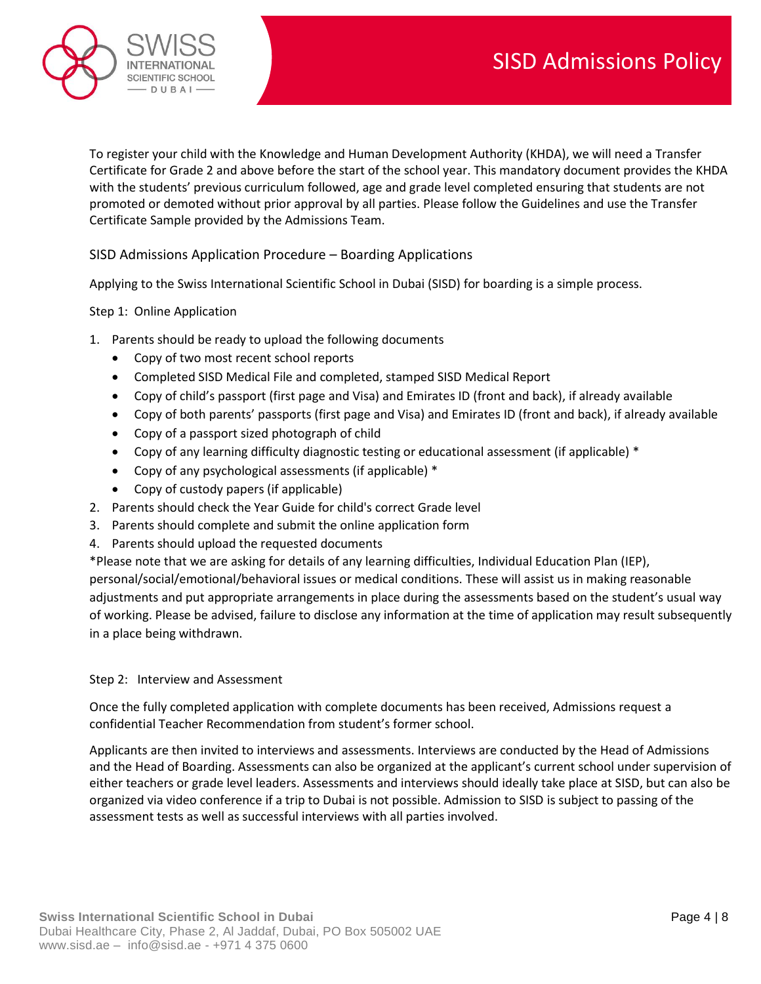

To register your child with the Knowledge and Human Development Authority (KHDA), we will need a Transfer Certificate for Grade 2 and above before the start of the school year. This mandatory document provides the KHDA with the students' previous curriculum followed, age and grade level completed ensuring that students are not promoted or demoted without prior approval by all parties. Please follow the [Guidelines](http://sisd.ae/wp-content/themes/sisdone/pdf/admissions/application-procedure/Guideline-Transfer-Certificate-(1).pdf) and use the [Transfer](http://sisd.ae/wp-content/themes/sisdone/pdf/admissions/application-procedure/Transfer-Certificate-Sample-(1).pdf)  [Certificate Sample](http://sisd.ae/wp-content/themes/sisdone/pdf/admissions/application-procedure/Transfer-Certificate-Sample-(1).pdf) provided by the Admissions Team.

# SISD Admissions Application Procedure – Boarding Applications

Applying to the Swiss International Scientific School in Dubai (SISD) for boarding is a simple process.

## Step 1: Online Application

- 1. Parents should be ready to upload the following documents
	- Copy of two most recent school reports
	- Completed SISD Medical File and completed, stamped SISD Medical Report
	- Copy of child's passport (first page and Visa) and Emirates ID (front and back), if already available
	- Copy of both parents' passports (first page and Visa) and Emirates ID (front and back), if already available
	- Copy of a passport sized photograph of child
	- Copy of any learning difficulty diagnostic testing or educational assessment (if applicable) \*
	- Copy of any psychological assessments (if applicable) \*
	- Copy of custody papers (if applicable)
- 2. Parents should check the Year Guide for child's correct Grade level
- 3. Parents should complete and submit the online application form
- 4. Parents should upload the requested documents

\*Please note that we are asking for details of any learning difficulties, Individual Education Plan (IEP), personal/social/emotional/behavioral issues or medical conditions. These will assist us in making reasonable adjustments and put appropriate arrangements in place during the assessments based on the student's usual way of working. Please be advised, failure to disclose any information at the time of application may result subsequently in a place being withdrawn.

## Step 2: Interview and Assessment

Once the fully completed application with complete documents has been received, Admissions request a confidential Teacher Recommendation from student's former school.

Applicants are then invited to interviews and [assessments.](http://sisd.ae/wp-content/themes/sisdone/pdf/admissions/application-procedure/Admission-Assessments.pdf) Interviews are conducted by the Head of Admissions and the Head of Boarding. Assessments can also be organized at the applicant's current school under supervision of either teachers or grade level leaders. Assessments and interviews should ideally take place at SISD, but can also be organized via video conference if a trip to Dubai is not possible. Admission to SISD is subject to passing of the assessment tests as well as successful interviews with all parties involved.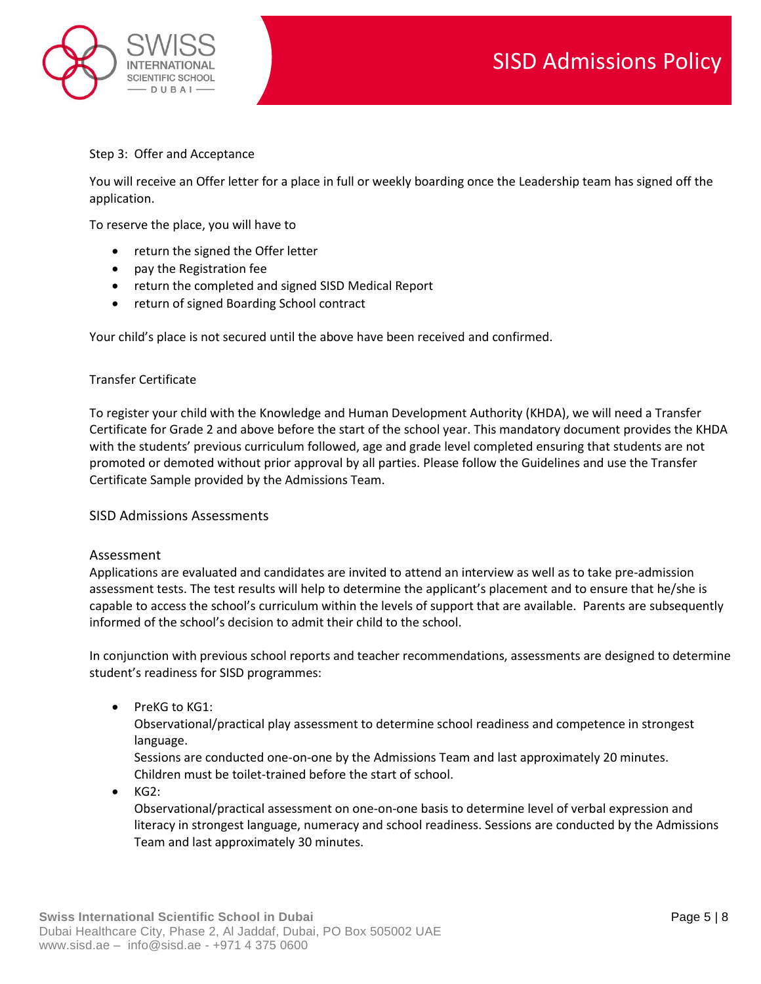

## Step 3: Offer and Acceptance

You will receive an Offer letter for a place in full or weekly boarding once the Leadership team has signed off the application.

To reserve the place, you will have to

- return the signed the Offer letter
- pay the [Registration fee](http://sisd.ae/our-school/admission-procedures/#tuition-fees)
- return the completed and signed [SISD Medical Report](http://sisd.ae/wp-content/themes/sisdone/pdf/admissions/application-procedure/SISD-Medical-Report-For-Boarding-Applicants.pdf)
- return of signed Boarding School contract

Your child's place is not secured until the above have been received and confirmed.

### Transfer Certificate

To register your child with the Knowledge and Human Development Authority (KHDA), we will need a Transfer Certificate for Grade 2 and above before the start of the school year. This mandatory document provides the KHDA with the students' previous curriculum followed, age and grade level completed ensuring that students are not promoted or demoted without prior approval by all parties. Please follow the [Guidelines](http://sisd.ae/wp-content/themes/sisdone/pdf/admissions/application-procedure/Guideline-Transfer-Certificate-(1).pdf) and use the [Transfer](http://sisd.ae/wp-content/themes/sisdone/pdf/admissions/application-procedure/Transfer-Certificate-Sample-(1).pdf)  [Certificate Sample](http://sisd.ae/wp-content/themes/sisdone/pdf/admissions/application-procedure/Transfer-Certificate-Sample-(1).pdf) provided by the Admissions Team.

#### SISD Admissions Assessments

#### Assessment

Applications are evaluated and candidates are invited to attend an interview as well as to take pre-admission assessment tests. The test results will help to determine the applicant's placement and to ensure that he/she is capable to access the school's curriculum within the levels of support that are available. Parents are subsequently informed of the school's decision to admit their child to the school.

In conjunction with previous school reports and teacher recommendations, assessments are designed to determine student's readiness for SISD programmes:

• PreKG to KG1:

Observational/practical play assessment to determine school readiness and competence in strongest language.

Sessions are conducted one-on-one by the Admissions Team and last approximately 20 minutes. Children must be toilet-trained before the start of school.

 $\bullet$  KG2:

Observational/practical assessment on one-on-one basis to determine level of verbal expression and literacy in strongest language, numeracy and school readiness. Sessions are conducted by the Admissions Team and last approximately 30 minutes.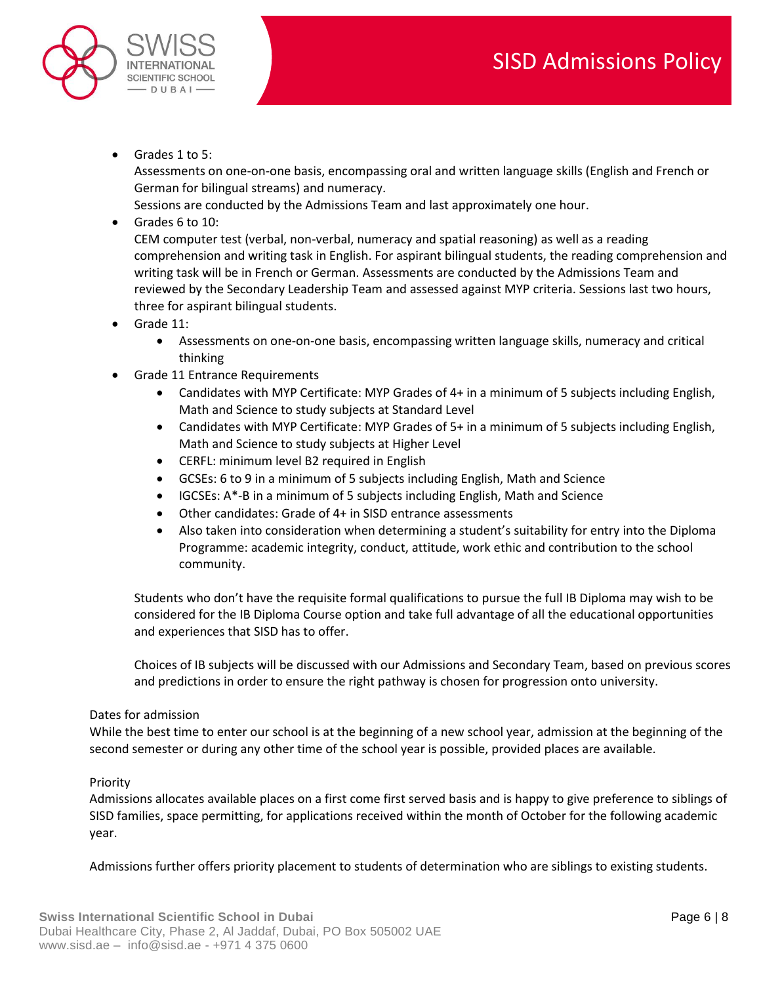

• Grades 1 to 5:

Assessments on one-on-one basis, encompassing oral and written language skills (English and French or German for bilingual streams) and numeracy.

Sessions are conducted by the Admissions Team and last approximately one hour.

• Grades 6 to 10:

CEM computer test (verbal, non-verbal, numeracy and spatial reasoning) as well as a reading comprehension and writing task in English. For aspirant bilingual students, the reading comprehension and writing task will be in French or German. Assessments are conducted by the Admissions Team and reviewed by the Secondary Leadership Team and assessed against MYP criteria. Sessions last two hours, three for aspirant bilingual students.

- Grade 11:
	- Assessments on one-on-one basis, encompassing written language skills, numeracy and critical thinking
- Grade 11 Entrance Requirements
	- Candidates with MYP Certificate: MYP Grades of 4+ in a minimum of 5 subjects including English, Math and Science to study subjects at Standard Level
	- Candidates with MYP Certificate: MYP Grades of 5+ in a minimum of 5 subjects including English, Math and Science to study subjects at Higher Level
	- CERFL: minimum level B2 required in English
	- GCSEs: 6 to 9 in a minimum of 5 subjects including English, Math and Science
	- IGCSEs: A\*-B in a minimum of 5 subjects including English, Math and Science
	- Other candidates: Grade of 4+ in SISD entrance assessments
	- Also taken into consideration when determining a student's suitability for entry into the Diploma Programme: academic integrity, conduct, attitude, work ethic and contribution to the school community.

Students who don't have the requisite formal qualifications to pursue the full IB Diploma may wish to be considered for the IB Diploma Course option and take full advantage of all the educational opportunities and experiences that SISD has to offer.

Choices of IB subjects will be discussed with our Admissions and Secondary Team, based on previous scores and predictions in order to ensure the right pathway is chosen for progression onto university.

## Dates for admission

While the best time to enter our school is at the beginning of a new school year, admission at the beginning of the second semester or during any other time of the school year is possible, provided places are available.

## Priority

Admissions allocates available places on a first come first served basis and is happy to give preference to siblings of SISD families, space permitting, for applications received within the month of October for the following academic year.

Admissions further offers priority placement to students of determination who are siblings to existing students.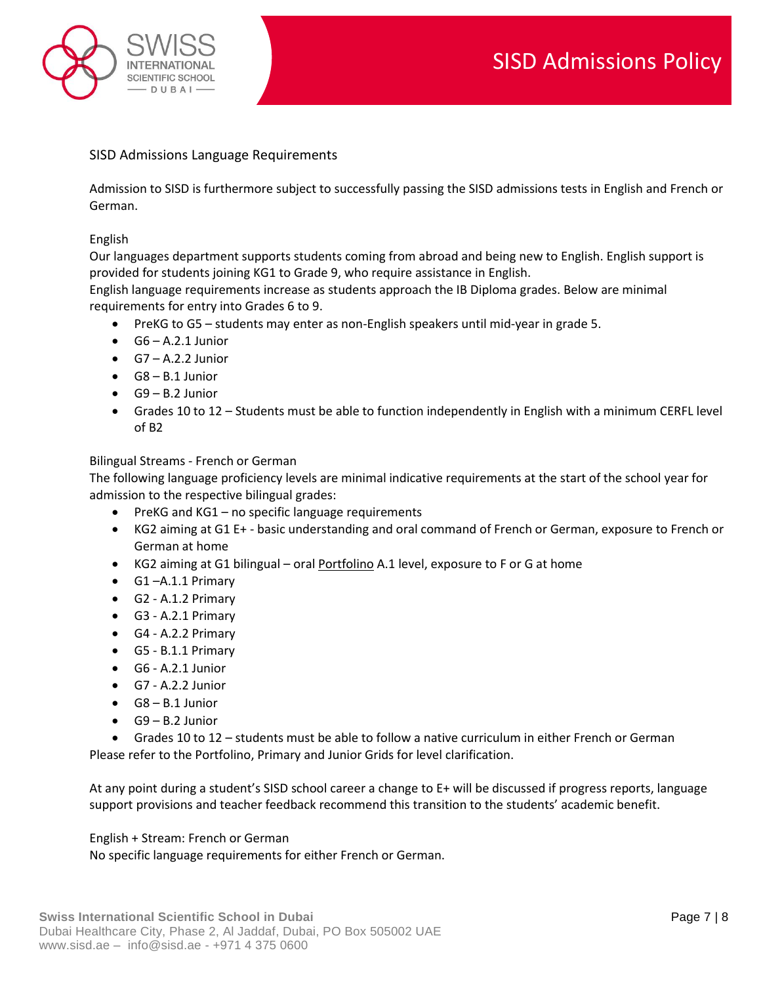

# SISD Admissions Language Requirements

Admission to SISD is furthermore subject to successfully passing the SISD admissions tests in English and French or German.

### English

Our languages department supports students coming from abroad and being new to English. English support is provided for students joining KG1 to Grade 9, who require assistance in English.

English language requirements increase as students approach the IB Diploma grades. Below are minimal requirements for entry into Grades 6 to 9.

- PreKG to G5 students may enter as non-English speakers until mid-year in grade 5.
- $\bullet$  G6 A.2.1 Junior
- $\bullet$  G7 A.2.2 Junior
- $\bullet$  G8 B.1 Junior
- G9 B.2 Junior
- Grades 10 to 12 Students must be able to function independently in English with a minimum CERFL level of B2

#### Bilingual Streams - French or German

The following language proficiency levels are minimal indicative requirements at the start of the school year for admission to the respective bilingual grades:

- PreKG and KG1 no specific language requirements
- KG2 aiming at G1 E+ basic understanding and oral command of French or German, exposure to French or German at home
- KG2 aiming at G1 bilingual oral Portfolino A.1 level, exposure to F or G at home
- G1 –A.1.1 Primary
- G2 A.1.2 Primary
- G3 A.2.1 Primary
- G4 A.2.2 Primary
- G5 B.1.1 Primary
- G6 A.2.1 Junior
- $\bullet$  G7 A.2.2 Junior
- $\bullet$  G8 B.1 Junior
- $\bullet$  G9 B.2 Junior

• Grades 10 to 12 – students must be able to follow a native curriculum in either French or German Please refer to the Portfolino, Primary and Junior Grids for level clarification.

At any point during a student's SISD school career a change to E+ will be discussed if progress reports, language support provisions and teacher feedback recommend this transition to the students' academic benefit.

#### English + Stream: French or German

No specific language requirements for either French or German.